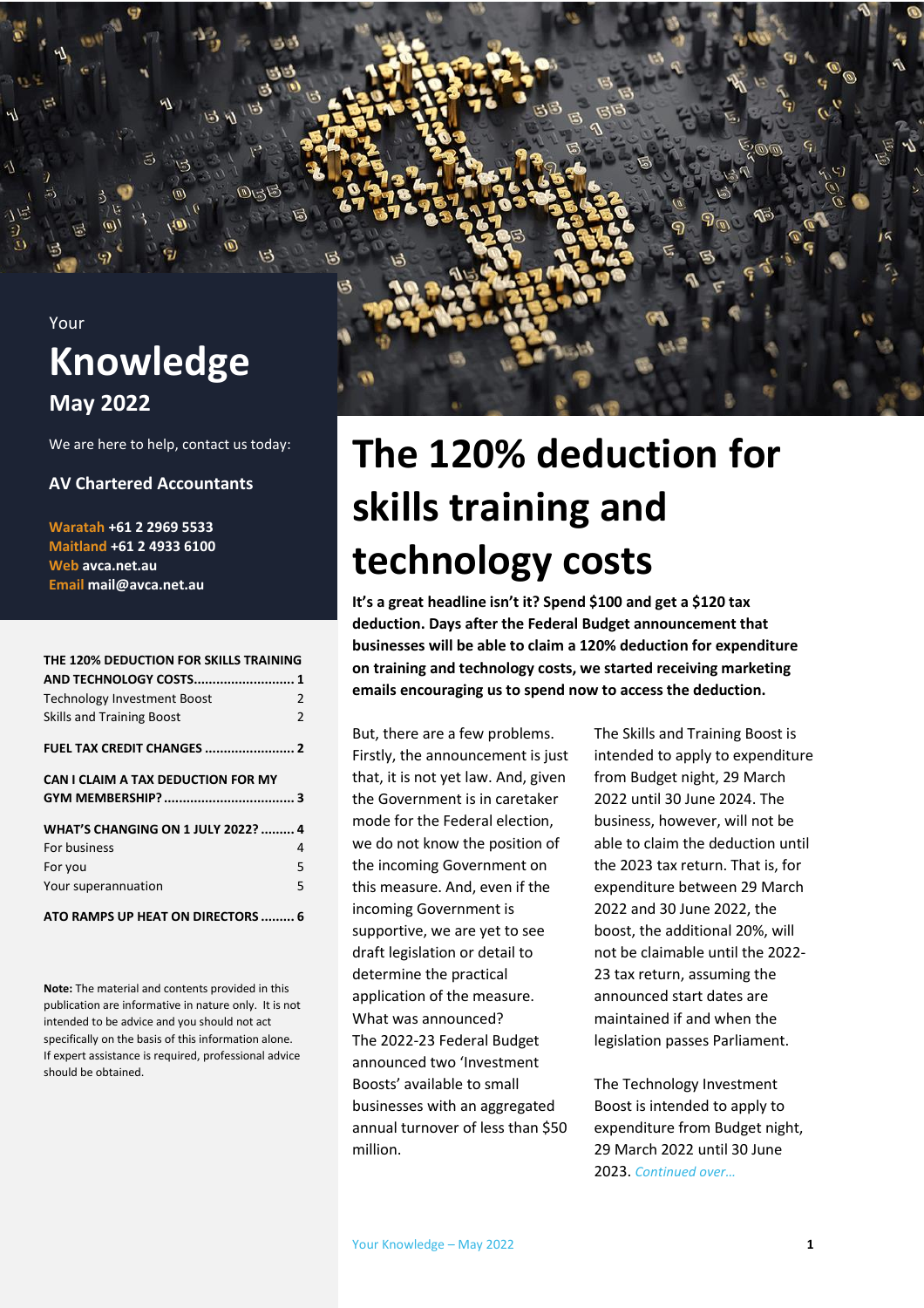

We are here to help, contact us today:

#### **AV Chartered Accountants**

**Waratah +61 2 2969 5533 Maitland +61 2 4933 6100 Web avca.net.au Email mail@avca.net.au**

#### **[THE 120% DEDUCTION FOR SKILLS TRAINING](#page-0-0)**

| <b>Technology Investment Boost</b>        | $\overline{2}$ |
|-------------------------------------------|----------------|
| <b>Skills and Training Boost</b>          | $\overline{2}$ |
|                                           |                |
| CAN I CLAIM A TAX DEDUCTION FOR MY        |                |
|                                           |                |
| <b>WHAT'S CHANGING ON 1 JULY 2022?  4</b> |                |
| For business                              | 4              |
| For you                                   | 5              |
| Your superannuation                       | 5              |
| ATO RAMPS UP HEAT ON DIRECTORS  6         |                |

**Note:** The material and contents provided in this publication are informative in nature only. It is not intended to be advice and you should not act specifically on the basis of this information alone. If expert assistance is required, professional advice should be obtained.

## <span id="page-0-0"></span>**The 120% deduction for skills training and technology costs**

**It's a great headline isn't it? Spend \$100 and get a \$120 tax deduction. Days after the Federal Budget announcement that businesses will be able to claim a 120% deduction for expenditure on training and technology costs, we started receiving marketing emails encouraging us to spend now to access the deduction.**

But, there are a few problems. Firstly, the announcement is just that, it is not yet law. And, given the Government is in caretaker mode for the Federal election, we do not know the position of the incoming Government on this measure. And, even if the incoming Government is supportive, we are yet to see draft legislation or detail to determine the practical application of the measure. What was announced? The 2022-23 Federal Budget announced two 'Investment Boosts' available to small businesses with an aggregated annual turnover of less than \$50 million.

The Skills and Training Boost is intended to apply to expenditure from Budget night, 29 March 2022 until 30 June 2024. The business, however, will not be able to claim the deduction until the 2023 tax return. That is, for expenditure between 29 March 2022 and 30 June 2022, the boost, the additional 20%, will not be claimable until the 2022- 23 tax return, assuming the announced start dates are maintained if and when the legislation passes Parliament.

The Technology Investment Boost is intended to apply to expenditure from Budget night, 29 March 2022 until 30 June 2023. *Continued over…*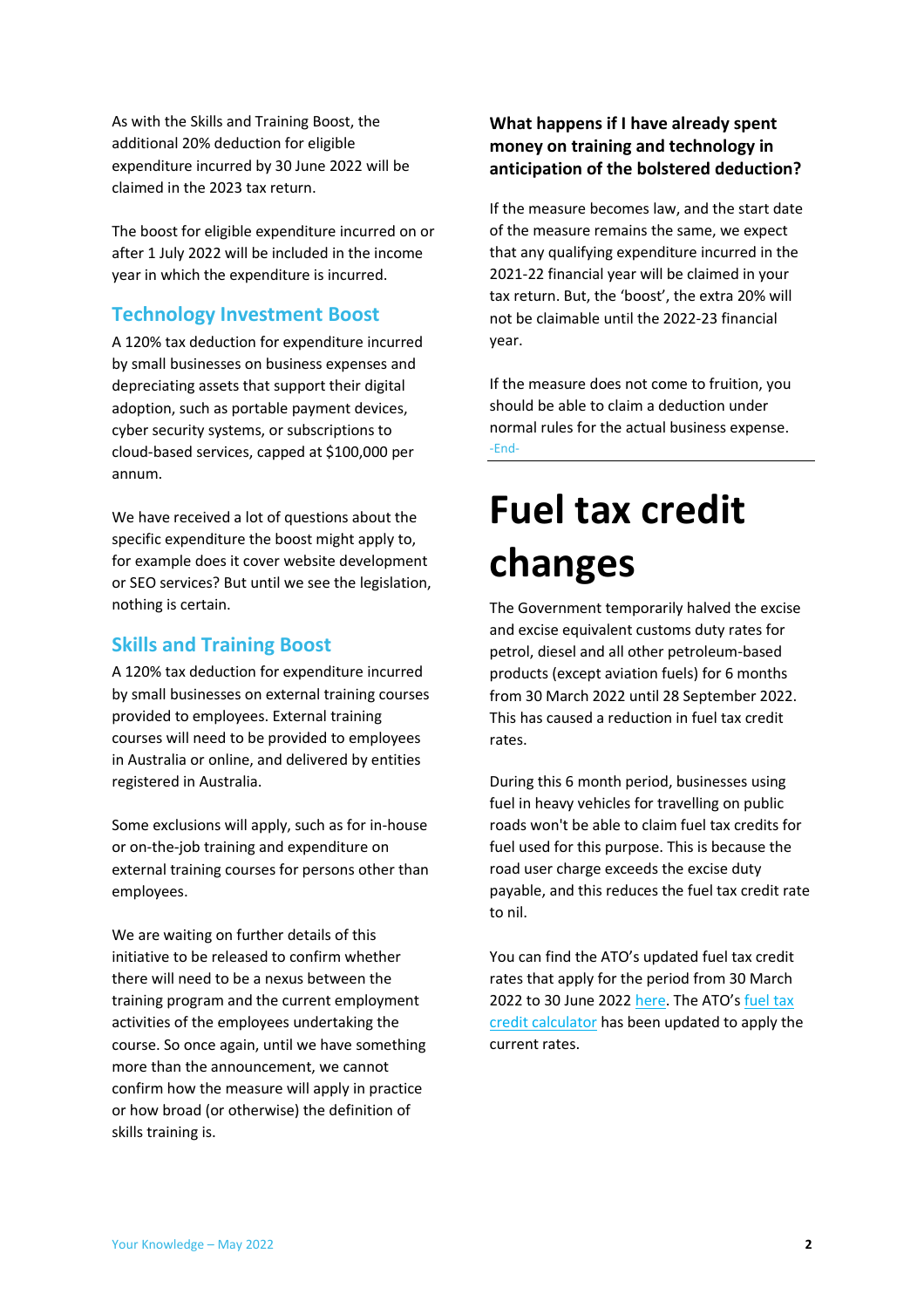As with the Skills and Training Boost, the additional 20% deduction for eligible expenditure incurred by 30 June 2022 will be claimed in the 2023 tax return.

The boost for eligible expenditure incurred on or after 1 July 2022 will be included in the income year in which the expenditure is incurred.

#### <span id="page-1-0"></span>**Technology Investment Boost**

A 120% tax deduction for expenditure incurred by small businesses on business expenses and depreciating assets that support their digital adoption, such as portable payment devices, cyber security systems, or subscriptions to cloud-based services, capped at \$100,000 per annum.

We have received a lot of questions about the specific expenditure the boost might apply to, for example does it cover website development or SEO services? But until we see the legislation, nothing is certain.

#### <span id="page-1-1"></span>**Skills and Training Boost**

A 120% tax deduction for expenditure incurred by small businesses on external training courses provided to employees. External training courses will need to be provided to employees in Australia or online, and delivered by entities registered in Australia.

Some exclusions will apply, such as for in-house or on-the-job training and expenditure on external training courses for persons other than employees.

We are waiting on further details of this initiative to be released to confirm whether there will need to be a nexus between the training program and the current employment activities of the employees undertaking the course. So once again, until we have something more than the announcement, we cannot confirm how the measure will apply in practice or how broad (or otherwise) the definition of skills training is.

#### **What happens if I have already spent money on training and technology in anticipation of the bolstered deduction?**

If the measure becomes law, and the start date of the measure remains the same, we expect that any qualifying expenditure incurred in the 2021-22 financial year will be claimed in your tax return. But, the 'boost', the extra 20% will not be claimable until the 2022-23 financial year.

If the measure does not come to fruition, you should be able to claim a deduction under normal rules for the actual business expense. -End-

## <span id="page-1-2"></span>**Fuel tax credit changes**

The Government temporarily halved the excise and excise equivalent customs duty rates for petrol, diesel and all other petroleum-based products (except aviation fuels) for 6 months from 30 March 2022 until 28 September 2022. This has caused a reduction in fuel tax credit rates.

During this 6 month period, businesses using fuel in heavy vehicles for travelling on public roads won't be able to claim fuel tax credits for fuel used for this purpose. This is because the road user charge exceeds the excise duty payable, and this reduces the fuel tax credit rate to nil.

You can find the ATO's updated fuel tax credit rates that apply for the period from 30 March 2022 to 30 June 2022 [here](https://www.ato.gov.au/Business/Fuel-schemes/Fuel-tax-credits---business/Rates---business/From-30-March-2022/). The ATO's fuel tax [credit calculator](https://www.ato.gov.au/Calculators-and-tools/Host/?anchor=FTCCalc#FTCCalc/questions) has been updated to apply the current rates.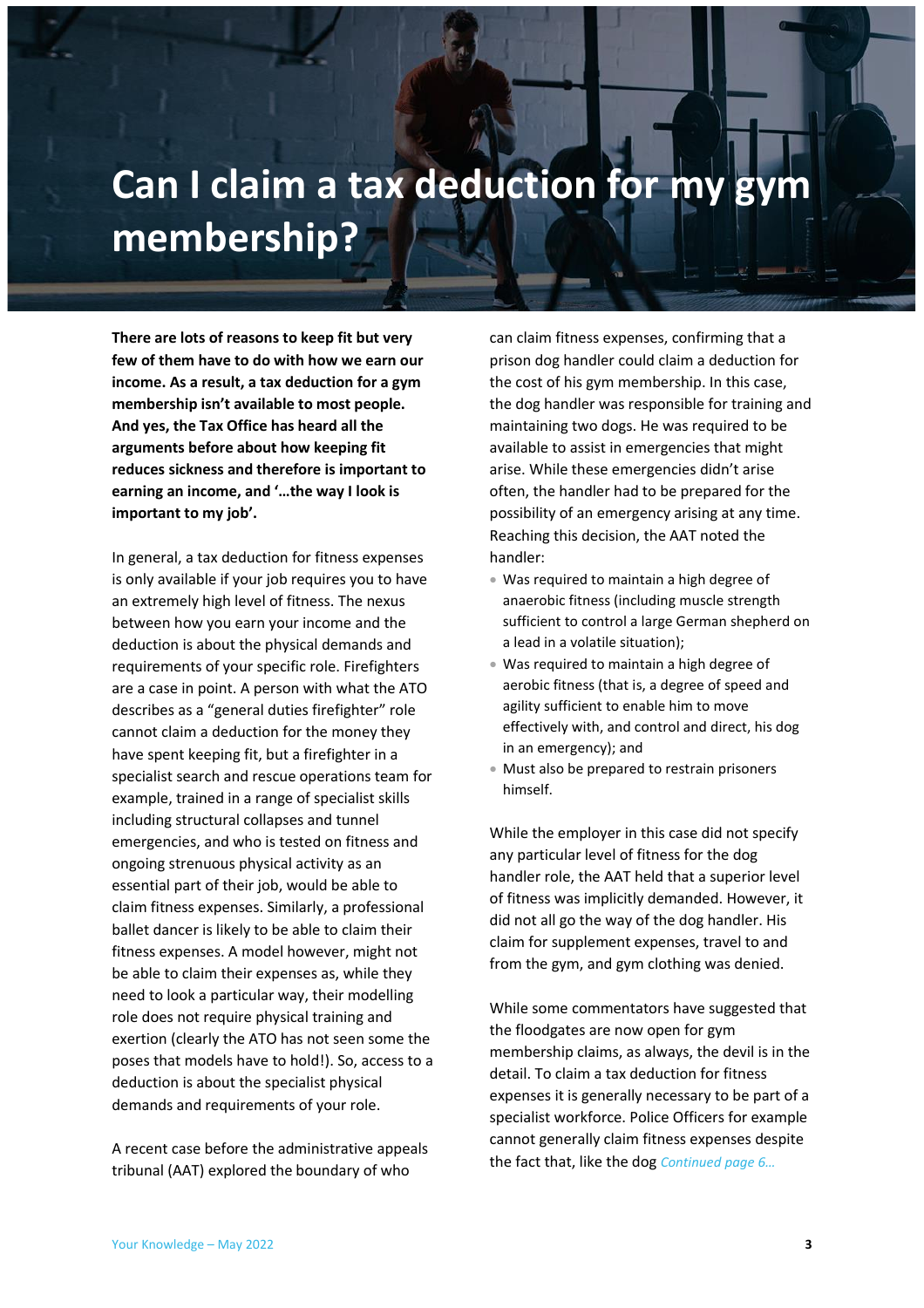## <span id="page-2-0"></span>**Can I claim a tax deduction for my gym membership?**

**There are lots of reasons to keep fit but very few of them have to do with how we earn our income. As a result, a tax deduction for a gym membership isn't available to most people. And yes, the Tax Office has heard all the arguments before about how keeping fit reduces sickness and therefore is important to earning an income, and '…the way I look is important to my job'.** 

In general, a tax deduction for fitness expenses is only available if your job requires you to have an extremely high level of fitness. The nexus between how you earn your income and the deduction is about the physical demands and requirements of your specific role. Firefighters are a case in point. A person with what the ATO describes as a "general duties firefighter" role cannot claim a deduction for the money they have spent keeping fit, but a firefighter in a specialist search and rescue operations team for example, trained in a range of specialist skills including structural collapses and tunnel emergencies, and who is tested on fitness and ongoing strenuous physical activity as an essential part of their job, would be able to claim fitness expenses. Similarly, a professional ballet dancer is likely to be able to claim their fitness expenses. A model however, might not be able to claim their expenses as, while they need to look a particular way, their modelling role does not require physical training and exertion (clearly the ATO has not seen some the poses that models have to hold!). So, access to a deduction is about the specialist physical demands and requirements of your role.

A recent case before the administrative appeals tribunal (AAT) explored the boundary of who

can claim fitness expenses, confirming that a prison dog handler could claim a deduction for the cost of his gym membership. In this case, the dog handler was responsible for training and maintaining two dogs. He was required to be available to assist in emergencies that might arise. While these emergencies didn't arise often, the handler had to be prepared for the possibility of an emergency arising at any time. Reaching this decision, the AAT noted the handler:

- Was required to maintain a high degree of anaerobic fitness (including muscle strength sufficient to control a large German shepherd on a lead in a volatile situation);
- Was required to maintain a high degree of aerobic fitness (that is, a degree of speed and agility sufficient to enable him to move effectively with, and control and direct, his dog in an emergency); and
- Must also be prepared to restrain prisoners himself.

While the employer in this case did not specify any particular level of fitness for the dog handler role, the AAT held that a superior level of fitness was implicitly demanded. However, it did not all go the way of the dog handler. His claim for supplement expenses, travel to and from the gym, and gym clothing was denied.

While some commentators have suggested that the floodgates are now open for gym membership claims, as always, the devil is in the detail. To claim a tax deduction for fitness expenses it is generally necessary to be part of a specialist workforce. Police Officers for example cannot generally claim fitness expenses despite the fact that, like the dog *Continued page 6…*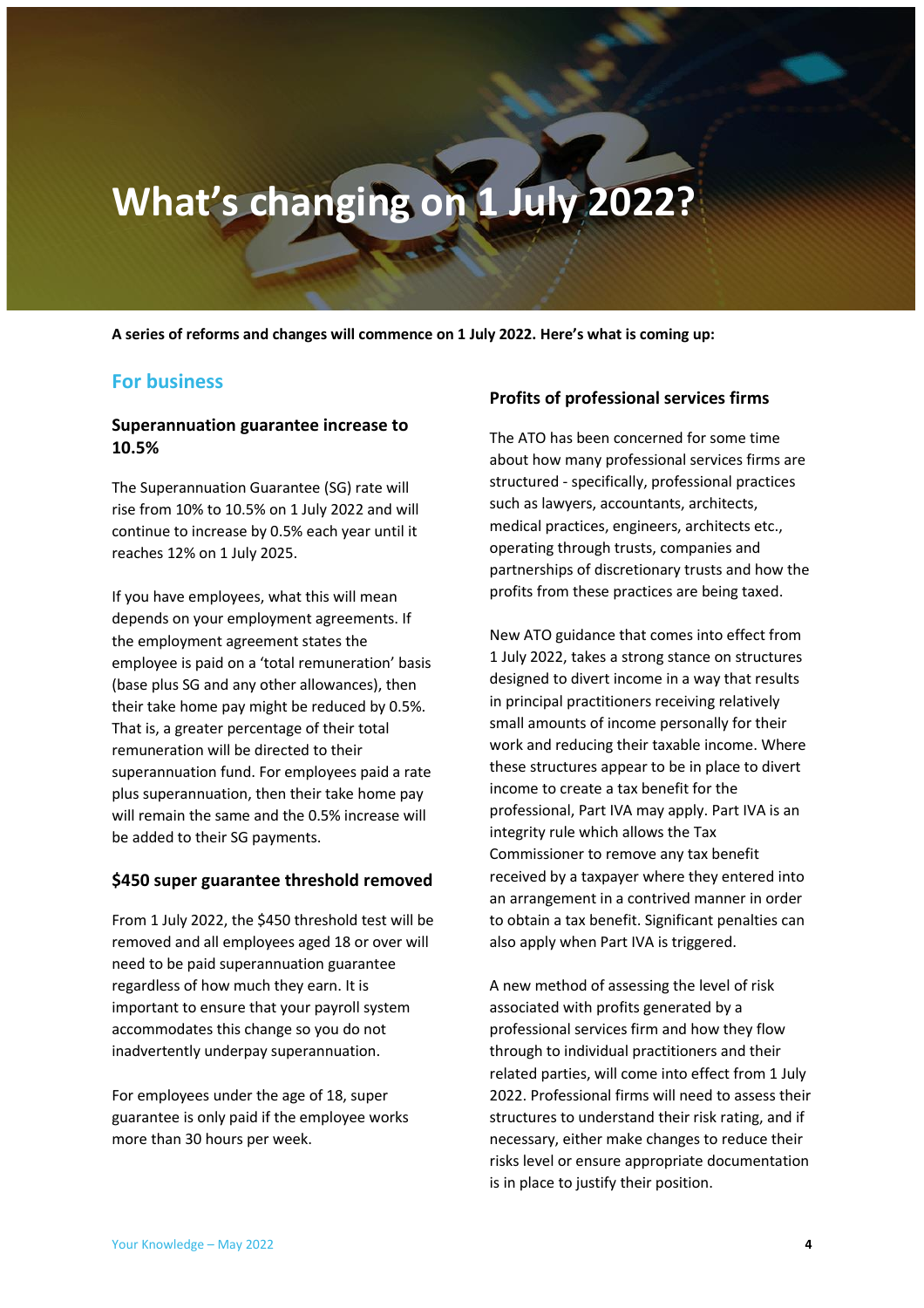# <span id="page-3-0"></span>**What's changing on 1 July 2022?**

**A series of reforms and changes will commence on 1 July 2022. Here's what is coming up:**

#### <span id="page-3-1"></span>**For business**

#### **Superannuation guarantee increase to 10.5%**

The Superannuation Guarantee (SG) rate will rise from 10% to 10.5% on 1 July 2022 and will continue to increase by 0.5% each year until it reaches 12% on 1 July 2025.

If you have employees, what this will mean depends on your employment agreements. If the employment agreement states the employee is paid on a 'total remuneration' basis (base plus SG and any other allowances), then their take home pay might be reduced by 0.5%. That is, a greater percentage of their total remuneration will be directed to their superannuation fund. For employees paid a rate plus superannuation, then their take home pay will remain the same and the 0.5% increase will be added to their SG payments.

#### **\$450 super guarantee threshold removed**

From 1 July 2022, the \$450 threshold test will be removed and all employees aged 18 or over will need to be paid superannuation guarantee regardless of how much they earn. It is important to ensure that your payroll system accommodates this change so you do not inadvertently underpay superannuation.

For employees under the age of 18, super guarantee is only paid if the employee works more than 30 hours per week.

#### **Profits of professional services firms**

The ATO has been concerned for some time about how many professional services firms are structured - specifically, professional practices such as lawyers, accountants, architects, medical practices, engineers, architects etc., operating through trusts, companies and partnerships of discretionary trusts and how the profits from these practices are being taxed.

New ATO guidance that comes into effect from 1 July 2022, takes a strong stance on structures designed to divert income in a way that results in principal practitioners receiving relatively small amounts of income personally for their work and reducing their taxable income. Where these structures appear to be in place to divert income to create a tax benefit for the professional, Part IVA may apply. Part IVA is an integrity rule which allows the Tax Commissioner to remove any tax benefit received by a taxpayer where they entered into an arrangement in a contrived manner in order to obtain a tax benefit. Significant penalties can also apply when Part IVA is triggered.

A new method of assessing the level of risk associated with profits generated by a professional services firm and how they flow through to individual practitioners and their related parties, will come into effect from 1 July 2022. Professional firms will need to assess their structures to understand their risk rating, and if necessary, either make changes to reduce their risks level or ensure appropriate documentation is in place to justify their position.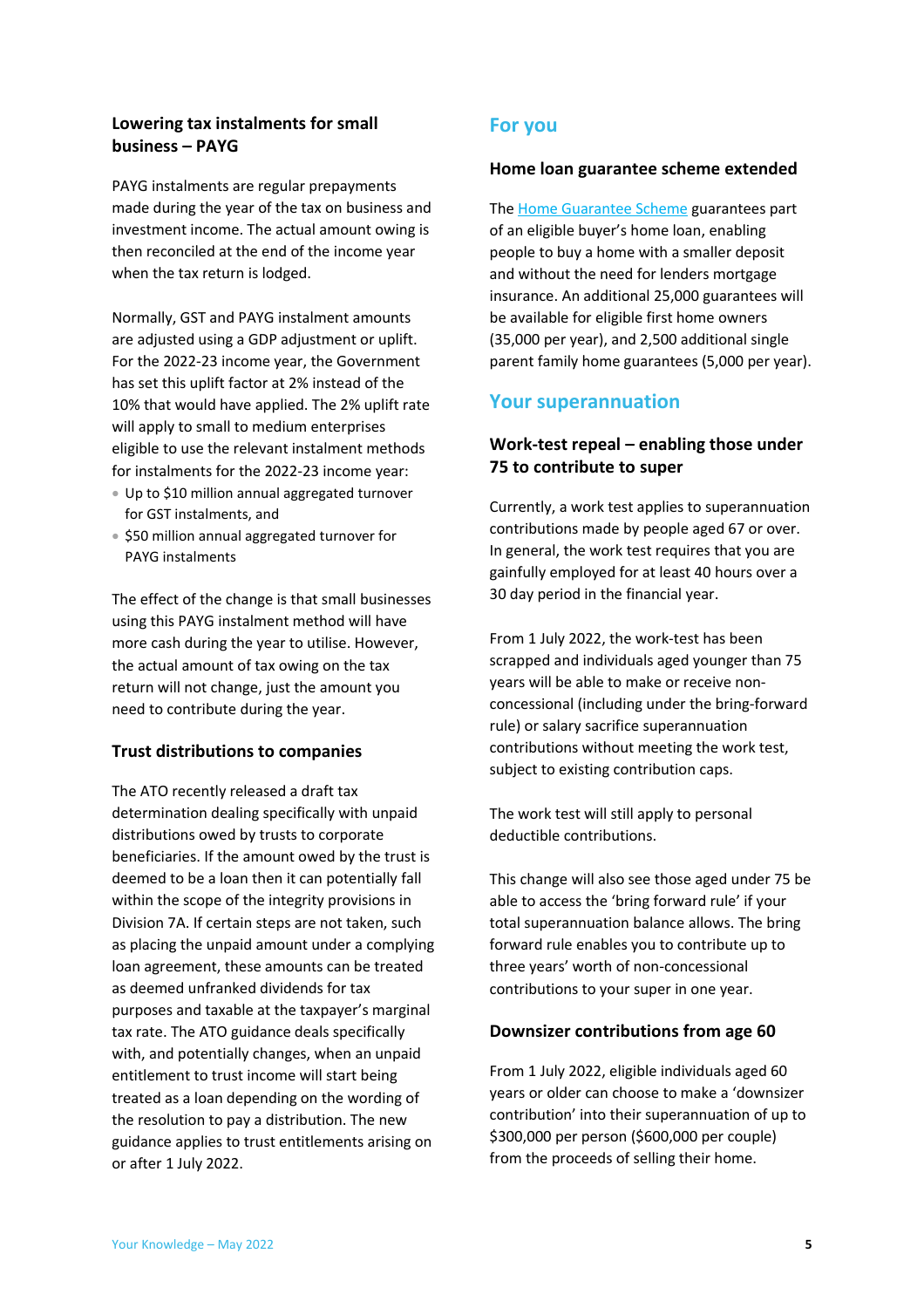#### **Lowering tax instalments for small business – PAYG**

PAYG instalments are regular prepayments made during the year of the tax on business and investment income. The actual amount owing is then reconciled at the end of the income year when the tax return is lodged.

Normally, GST and PAYG instalment amounts are adjusted using a GDP adjustment or uplift. For the 2022-23 income year, the Government has set this uplift factor at 2% instead of the 10% that would have applied. The 2% uplift rate will apply to small to medium enterprises eligible to use the relevant instalment methods for instalments for the 2022-23 income year:

- Up to \$10 million annual aggregated turnover for GST instalments, and
- \$50 million annual aggregated turnover for PAYG instalments

The effect of the change is that small businesses using this PAYG instalment method will have more cash during the year to utilise. However, the actual amount of tax owing on the tax return will not change, just the amount you need to contribute during the year.

#### **Trust distributions to companies**

The ATO recently released a draft tax determination dealing specifically with unpaid distributions owed by trusts to corporate beneficiaries. If the amount owed by the trust is deemed to be a loan then it can potentially fall within the scope of the integrity provisions in Division 7A. If certain steps are not taken, such as placing the unpaid amount under a complying loan agreement, these amounts can be treated as deemed unfranked dividends for tax purposes and taxable at the taxpayer's marginal tax rate. The ATO guidance deals specifically with, and potentially changes, when an unpaid entitlement to trust income will start being treated as a loan depending on the wording of the resolution to pay a distribution. The new guidance applies to trust entitlements arising on or after 1 July 2022.

#### <span id="page-4-0"></span>**For you**

#### **Home loan guarantee scheme extended**

Th[e Home Guarantee Scheme](https://www.nhfic.gov.au/what-we-do/support-to-buy-a-home) guarantees part of an eligible buyer's home loan, enabling people to buy a home with a smaller deposit and without the need for lenders mortgage insurance. An additional 25,000 guarantees will be available for eligible first home owners (35,000 per year), and 2,500 additional single parent family home guarantees (5,000 per year).

#### <span id="page-4-1"></span>**Your superannuation**

#### **Work-test repeal – enabling those under 75 to contribute to super**

Currently, a work test applies to superannuation contributions made by people aged 67 or over. In general, the work test requires that you are gainfully employed for at least 40 hours over a 30 day period in the financial year.

From 1 July 2022, the work-test has been scrapped and individuals aged younger than 75 years will be able to make or receive nonconcessional (including under the bring-forward rule) or salary sacrifice superannuation contributions without meeting the work test, subject to existing contribution caps.

The work test will still apply to personal deductible contributions.

This change will also see those aged under 75 be able to access the 'bring forward rule' if your total superannuation balance allows. The bring forward rule enables you to contribute up to three years' worth of non-concessional contributions to your super in one year.

#### **Downsizer contributions from age 60**

From 1 July 2022, eligible individuals aged 60 years or older can choose to make a 'downsizer contribution' into their superannuation of up to \$300,000 per person (\$600,000 per couple) from the proceeds of selling their home.